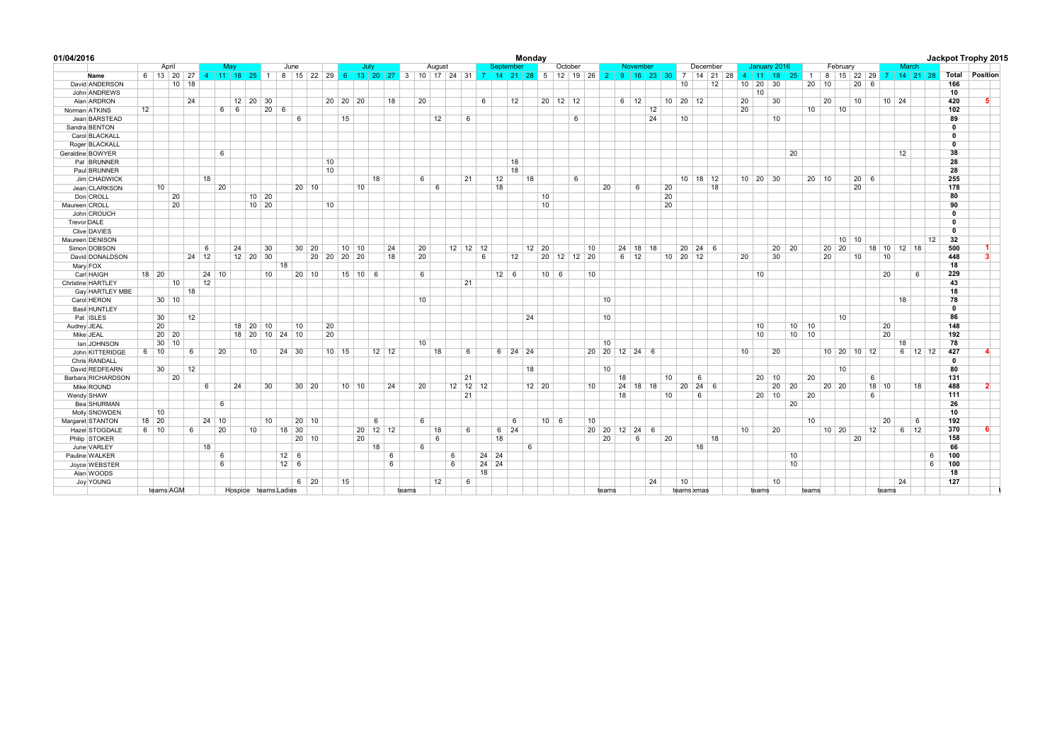| 01/04/2016               |    |                                                                                                                        |         |       |                 |        |         |                      |     |              |    |         |                    |           |              |    |       |        |                 |                      |    |                   | Monday    |               |              |                      |    |                                     |    |              |              |    |                      |                        |    |    |                      |       |                 |              |              |                              |             |                 |              |                 |           |    |                   | Jackpot Trophy 2015             |
|--------------------------|----|------------------------------------------------------------------------------------------------------------------------|---------|-------|-----------------|--------|---------|----------------------|-----|--------------|----|---------|--------------------|-----------|--------------|----|-------|--------|-----------------|----------------------|----|-------------------|-----------|---------------|--------------|----------------------|----|-------------------------------------|----|--------------|--------------|----|----------------------|------------------------|----|----|----------------------|-------|-----------------|--------------|--------------|------------------------------|-------------|-----------------|--------------|-----------------|-----------|----|-------------------|---------------------------------|
|                          |    | April                                                                                                                  |         |       |                 | Mav    |         |                      |     | June         |    |         |                    | July      |              |    |       | August |                 |                      |    | Septembe          |           |               |              | October              |    |                                     |    | November     |              |    |                      | December               |    |    | January 2016         |       |                 |              |              | February                     |             |                 |              | March           |           |    |                   |                                 |
| Name                     |    | 6 13 20 27 4 11 18 25 1 8 15 22 29 6 13 20 27 3 10 17 24 31 7 14 21 28 5 12 19 26 2 9 16 23 30 7 14 21 28 4 11 18 25 1 |         |       |                 |        |         |                      |     |              |    |         |                    |           |              |    |       |        |                 |                      |    |                   |           |               |              |                      |    |                                     |    |              |              |    |                      |                        |    |    |                      |       |                 |              |              | $8 \mid 15$                  |             |                 |              |                 |           |    |                   | 22 29 7 14 21 28 Total Position |
| David ANDERSON           |    |                                                                                                                        | $10$ 18 |       |                 |        |         |                      |     |              |    |         |                    |           |              |    |       |        |                 |                      |    |                   |           |               |              |                      |    |                                     |    |              |              |    | 10                   |                        | 12 |    | 10 20 30             |       |                 |              | $20 \mid 10$ |                              | $20-1$      | 6               |              |                 |           |    | 166               |                                 |
| John ANDREWS             |    |                                                                                                                        |         |       |                 |        |         |                      |     |              |    |         |                    |           |              |    |       |        |                 |                      |    |                   |           |               |              |                      |    |                                     |    |              |              |    |                      |                        |    |    | 10                   |       |                 |              |              |                              |             |                 |              |                 |           |    | 10                |                                 |
| Alan ARDRON              |    |                                                                                                                        | 24      |       |                 |        |         | $12 \mid 20 \mid 30$ |     |              |    |         | 20 20 20           |           |              | 18 | 20    |        |                 |                      | 6  |                   | 12        |               |              | $20 \mid 12 \mid 12$ |    |                                     |    | $6 \mid 12$  |              |    | $10 \mid 20 \mid 12$ |                        |    | 20 |                      | 30    |                 |              | 20           |                              | 10          |                 | $10 \mid 24$ |                 |           |    | 420               | 5.                              |
| Norman ATKINS            | 12 |                                                                                                                        |         |       |                 | 6<br>6 |         | 20                   | - 6 |              |    |         |                    |           |              |    |       |        |                 |                      |    |                   |           |               |              |                      |    |                                     |    |              | 12           |    |                      |                        |    | 20 |                      |       |                 | 10           |              | 10                           |             |                 |              |                 |           |    | 102               |                                 |
| Jean BARSTEAD            |    |                                                                                                                        |         |       |                 |        |         |                      |     | 6            |    |         | 15                 |           |              |    |       | 12     |                 | - 6                  |    |                   |           |               |              | 6                    |    |                                     |    |              | 24           |    | 10                   |                        |    |    |                      | 10    |                 |              |              |                              |             |                 |              |                 |           |    | 89                |                                 |
| Sandra BENTON            |    |                                                                                                                        |         |       |                 |        |         |                      |     |              |    |         |                    |           |              |    |       |        |                 |                      |    |                   |           |               |              |                      |    |                                     |    |              |              |    |                      |                        |    |    |                      |       |                 |              |              |                              |             |                 |              |                 |           |    | $\mathbf{0}$      |                                 |
| Carol BLACKALL           |    |                                                                                                                        |         |       |                 |        |         |                      |     |              |    |         |                    |           |              |    |       |        |                 |                      |    |                   |           |               |              |                      |    |                                     |    |              |              |    |                      |                        |    |    |                      |       |                 |              |              |                              |             |                 |              |                 |           |    | $\mathbf{0}$      |                                 |
| Roger BLACKALL           |    |                                                                                                                        |         |       |                 |        |         |                      |     |              |    |         |                    |           |              |    |       |        |                 |                      |    |                   |           |               |              |                      |    |                                     |    |              |              |    |                      |                        |    |    |                      |       |                 |              |              |                              |             |                 |              |                 |           |    | $\Omega$          |                                 |
| Geraldine BOWYER         |    |                                                                                                                        |         |       | 6               |        |         |                      |     |              |    |         |                    |           |              |    |       |        |                 |                      |    |                   |           |               |              |                      |    |                                     |    |              |              |    |                      |                        |    |    |                      |       | 20              |              |              |                              |             |                 |              | 12              |           |    | 38                |                                 |
| Pat BRUNNER              |    |                                                                                                                        |         |       |                 |        |         |                      |     |              |    | 10      |                    |           |              |    |       |        |                 |                      |    |                   | 18        |               |              |                      |    |                                     |    |              |              |    |                      |                        |    |    |                      |       |                 |              |              |                              |             |                 |              |                 |           |    | 28                |                                 |
| Paul BRUNNER             |    |                                                                                                                        |         |       |                 |        |         |                      |     |              |    | 10      |                    |           |              |    |       |        |                 |                      |    |                   | 18        |               |              |                      |    |                                     |    |              |              |    |                      |                        |    |    |                      |       |                 |              |              |                              |             |                 |              |                 |           |    | 28                |                                 |
| Jim CHADWICK             |    |                                                                                                                        |         |       | 18              |        |         |                      |     |              |    |         |                    |           | 18           |    | 6     |        |                 | 21                   |    | 12                |           | 18            |              | 6                    |    |                                     |    |              |              |    |                      | $10$ 18 12             |    |    | $10 \mid 20 \mid 30$ |       |                 | $20 \mid 10$ |              |                              | $20 \mid 6$ |                 |              |                 |           |    | 255               |                                 |
| Jean CLARKSON            |    | 10                                                                                                                     |         |       | 20              |        |         |                      |     | 20 10        |    |         |                    | 10        |              |    |       | 6      |                 |                      |    | 18                |           |               |              |                      |    | 20                                  |    | 6            |              | 20 |                      |                        | 18 |    |                      |       |                 |              |              |                              | 20          |                 |              |                 |           |    | 178               |                                 |
| Don CROLL                |    |                                                                                                                        | 20      |       |                 |        |         | $10$ 20              |     |              |    |         |                    |           |              |    |       |        |                 |                      |    |                   |           |               | 10           |                      |    |                                     |    |              |              | 20 |                      |                        |    |    |                      |       |                 |              |              |                              |             |                 |              |                 |           |    | 80                |                                 |
| Maureen CROLL            |    |                                                                                                                        | 20      |       |                 |        |         | $10$ 20              |     |              |    | 10      |                    |           |              |    |       |        |                 |                      |    |                   |           |               | 10           |                      |    |                                     |    |              |              | 20 |                      |                        |    |    |                      |       |                 |              |              |                              |             |                 |              |                 |           |    | 90                |                                 |
| John CROUCH              |    |                                                                                                                        |         |       |                 |        |         |                      |     |              |    |         |                    |           |              |    |       |        |                 |                      |    |                   |           |               |              |                      |    |                                     |    |              |              |    |                      |                        |    |    |                      |       |                 |              |              |                              |             |                 |              |                 |           |    | $\mathbf 0$       |                                 |
| Trevor DALE              |    |                                                                                                                        |         |       |                 |        |         |                      |     |              |    |         |                    |           |              |    |       |        |                 |                      |    |                   |           |               |              |                      |    |                                     |    |              |              |    |                      |                        |    |    |                      |       |                 |              |              |                              |             |                 |              |                 |           |    | $\mathbf{0}$      |                                 |
| Clive DAVIES             |    |                                                                                                                        |         |       |                 |        |         |                      |     |              |    |         |                    |           |              |    |       |        |                 |                      |    |                   |           |               |              |                      |    |                                     |    |              |              |    |                      |                        |    |    |                      |       |                 |              |              |                              |             |                 |              |                 |           |    | $\mathbf{0}$      |                                 |
| Maureen DENISON          |    |                                                                                                                        |         |       |                 |        |         |                      |     |              |    |         |                    |           |              |    |       |        |                 |                      |    |                   |           |               |              |                      |    |                                     |    |              |              |    |                      |                        |    |    |                      |       |                 |              |              |                              | 10   10     |                 |              |                 |           | 12 | 32                |                                 |
| Simon DOBSON             |    |                                                                                                                        |         |       | $6\overline{6}$ | 24     |         | 30                   |     | $30 \mid 20$ |    |         | $10 \mid 10$       |           |              | 24 | 20    |        |                 | $12 \mid 12 \mid 12$ |    |                   |           | $12 \quad 20$ |              |                      | 10 |                                     | 24 | $ 18\rangle$ | 18           |    | 20                   | $24 \quad 6$           |    |    |                      | 20 20 |                 |              |              | $20 \mid 20$                 |             |                 | 18 10 12 18  |                 |           |    | 500               |                                 |
| David DONALDSON          |    |                                                                                                                        |         | 24 12 |                 |        |         | 12 20 30             |     |              | 20 | 20      | $20 \overline{20}$ |           |              | 18 | 20    |        |                 |                      | 6  |                   | 12        |               |              | 20 12 12 20          |    |                                     |    | $6 \mid 12$  |              |    | $10 \mid 20$         | 12                     |    | 20 |                      | 30    |                 |              | 20           |                              | 10          |                 | 10           |                 |           |    | 448               | 3                               |
| Mary FOX                 |    |                                                                                                                        |         |       |                 |        |         |                      | 18  |              |    |         |                    |           |              |    |       |        |                 |                      |    |                   |           |               |              |                      |    |                                     |    |              |              |    |                      |                        |    |    |                      |       |                 |              |              |                              |             |                 |              |                 |           |    | 18                |                                 |
| Carl HAIGH               |    | 18 20                                                                                                                  |         |       | $24 \mid 10$    |        |         | 10                   |     | 20 10        |    |         |                    | $15$ 10 6 |              |    | 6     |        |                 |                      |    | $12 \quad 6$      |           |               | $10 \quad 6$ |                      | 10 |                                     |    |              |              |    |                      |                        |    |    | 10                   |       |                 |              |              |                              |             |                 | 20           |                 | 6         |    | 229               |                                 |
| <b>Christine HARTLEY</b> |    |                                                                                                                        | 10      |       | 12              |        |         |                      |     |              |    |         |                    |           |              |    |       |        |                 | 21                   |    |                   |           |               |              |                      |    |                                     |    |              |              |    |                      |                        |    |    |                      |       |                 |              |              |                              |             |                 |              |                 |           |    | 43                |                                 |
| Gay HARTLEY MBE          |    |                                                                                                                        |         | 18    |                 |        |         |                      |     |              |    |         |                    |           |              |    |       |        |                 |                      |    |                   |           |               |              |                      |    |                                     |    |              |              |    |                      |                        |    |    |                      |       |                 |              |              |                              |             |                 |              |                 |           |    | 18                |                                 |
| Carol HERON              |    | $30$ 10                                                                                                                |         |       |                 |        |         |                      |     |              |    |         |                    |           |              |    | 10    |        |                 |                      |    |                   |           |               |              |                      |    | 10                                  |    |              |              |    |                      |                        |    |    |                      |       |                 |              |              |                              |             |                 |              | 18              |           |    | 78                |                                 |
| <b>Basil HUNTLEY</b>     |    |                                                                                                                        |         |       |                 |        |         |                      |     |              |    |         |                    |           |              |    |       |        |                 |                      |    |                   |           |               |              |                      |    |                                     |    |              |              |    |                      |                        |    |    |                      |       |                 |              |              |                              |             |                 |              |                 |           |    | $\overline{0}$    |                                 |
| Pat ISLES                |    | 30                                                                                                                     |         | 12    |                 |        |         |                      |     |              |    |         |                    |           |              |    |       |        |                 |                      |    |                   |           | 24            |              |                      |    | 10                                  |    |              |              |    |                      |                        |    |    |                      |       |                 |              |              | 10                           |             |                 |              |                 |           |    | 86                |                                 |
|                          |    | 20                                                                                                                     |         |       |                 |        | $18$ 20 | 10                   |     | 10           |    | 20      |                    |           |              |    |       |        |                 |                      |    |                   |           |               |              |                      |    |                                     |    |              |              |    |                      |                        |    |    | 10                   |       | 10 <sup>1</sup> | 10           |              |                              |             |                 | 20           |                 |           |    | 148               |                                 |
| Audrey JEAL              |    | 20<br>20                                                                                                               |         |       |                 |        |         | 18 20 10 24 10       |     |              |    | 20      |                    |           |              |    |       |        |                 |                      |    |                   |           |               |              |                      |    |                                     |    |              |              |    |                      |                        |    |    | 10                   |       |                 | $10 \ 10$    |              |                              |             |                 | 20           |                 |           |    | 192               |                                 |
| Mike JEAL                |    | 30 <sup>7</sup><br>10                                                                                                  |         |       |                 |        |         |                      |     |              |    |         |                    |           |              |    |       |        |                 |                      |    |                   |           |               |              |                      |    | 10                                  |    |              |              |    |                      |                        |    |    |                      |       |                 |              |              |                              |             |                 |              |                 |           |    | 78                |                                 |
| lan JOHNSON              |    |                                                                                                                        |         |       |                 |        |         |                      |     |              |    |         |                    |           |              |    | 10    |        |                 |                      |    |                   |           |               |              |                      |    |                                     |    |              |              |    |                      |                        |    |    |                      |       |                 |              |              |                              |             |                 |              | 18              |           |    |                   |                                 |
| John KITTERIDGE          |    | $6 \mid 10$                                                                                                            |         | 6     | 20              |        |         | 10                   |     | 24 30        |    | $10$ 15 |                    |           | $12 \mid 12$ |    |       | 18     |                 | 6                    |    |                   | $6$ 24 24 |               |              |                      |    | $20 \mid 20 \mid 12 \mid 24 \mid 6$ |    |              |              |    |                      |                        |    | 10 |                      | 20    |                 |              |              | $10 \mid 20 \mid 10 \mid 12$ |             |                 |              |                 | $6$ 12 12 |    | 427               |                                 |
| Chris RANDALL            |    |                                                                                                                        |         |       |                 |        |         |                      |     |              |    |         |                    |           |              |    |       |        |                 |                      |    |                   |           |               |              |                      |    | 10                                  |    |              |              |    |                      |                        |    |    |                      |       |                 |              |              |                              |             |                 |              |                 |           |    | $\mathbf 0$<br>80 |                                 |
| David REDFEARN           |    | 30                                                                                                                     | 12      |       |                 |        |         |                      |     |              |    |         |                    |           |              |    |       |        |                 |                      |    |                   |           | 18            |              |                      |    |                                     |    |              |              |    |                      |                        |    |    |                      | 10    |                 |              |              | 10                           |             |                 |              |                 |           |    |                   |                                 |
| Barbara RICHARDSON       |    |                                                                                                                        | 20      |       |                 |        |         |                      |     |              |    |         |                    |           |              |    |       |        |                 | 21<br>$12$ 12 12     |    |                   |           |               |              |                      |    |                                     | 18 |              |              | 10 |                      | 6<br>$24 \overline{6}$ |    |    | 20                   |       |                 | 20           |              |                              |             | 6               |              |                 |           |    | 131               | $\overline{2}$                  |
| Mike ROUND               |    |                                                                                                                        |         |       | 6               | 24     |         | 30                   |     | $30 \mid 20$ |    |         | $10 \mid 10$       |           |              | 24 | 20    |        |                 |                      |    |                   |           | $12 \mid 20$  |              |                      | 10 |                                     | 24 |              | $18$ 18      |    | 20                   |                        |    |    |                      | 20    | 20              |              |              | $20 \mid 20$                 |             |                 | $18$ 10      |                 | 18        |    | 488               |                                 |
| Wendy SHAW               |    |                                                                                                                        |         |       |                 |        |         |                      |     |              |    |         |                    |           |              |    |       |        |                 | 21                   |    |                   |           |               |              |                      |    |                                     | 18 |              |              | 10 |                      | 6                      |    |    | 20                   | 10    |                 | 20           |              |                              |             | $6\overline{6}$ |              |                 |           |    | 111               |                                 |
| Bea SHURMAN              |    |                                                                                                                        |         |       | 6               |        |         |                      |     |              |    |         |                    |           |              |    |       |        |                 |                      |    |                   |           |               |              |                      |    |                                     |    |              |              |    |                      |                        |    |    |                      |       | 20              |              |              |                              |             |                 |              |                 |           |    | 26                |                                 |
| Molly SNOWDEN            |    | 10                                                                                                                     |         |       |                 |        |         |                      |     |              |    |         |                    |           |              |    |       |        |                 |                      |    |                   |           |               |              |                      |    |                                     |    |              |              |    |                      |                        |    |    |                      |       |                 |              |              |                              |             |                 |              |                 |           |    | 10                |                                 |
| Margaret STANTON         |    | $18$ 20                                                                                                                |         |       | $24 \mid 10$    |        |         | 10                   |     | $20$ 10      |    |         |                    |           | 6            |    | 6     |        |                 |                      |    |                   | 6         |               | $10 \mid 6$  |                      | 10 |                                     |    |              |              |    |                      |                        |    |    |                      |       |                 | 10           |              |                              |             |                 | 20           |                 | 6         |    | 192               |                                 |
| Hazel STOGDALE           |    | $6 \mid 10$                                                                                                            |         | 6     | 20              |        |         | 10                   | 18  | 30           |    |         |                    | 20 12 12  |              |    |       | 18     |                 | 6                    |    | $6 \overline{24}$ |           |               |              |                      |    | 20 20 12                            |    |              | $24 \quad 6$ |    |                      |                        |    | 10 |                      | 20    |                 |              |              | $10 \quad 20$                |             | 12              |              | $6\overline{6}$ | 12        |    | 370               | 6                               |
| Philip STOKER            |    |                                                                                                                        |         |       |                 |        |         |                      |     | $20 \mid 10$ |    |         |                    | 20        |              |    |       | 6      |                 |                      |    | 18                |           |               |              |                      |    | 20                                  |    | 6            |              | 20 |                      |                        | 18 |    |                      |       |                 |              |              |                              | 20          |                 |              |                 |           |    | 158               |                                 |
| June VARLEY              |    |                                                                                                                        |         |       | 18              |        |         |                      |     |              |    |         |                    |           | 18           |    | 6     |        |                 |                      |    |                   |           | 6             |              |                      |    |                                     |    |              |              |    |                      | 18                     |    |    |                      |       |                 |              |              |                              |             |                 |              |                 |           |    | 66                |                                 |
| Pauline WALKER           |    |                                                                                                                        |         |       | $6\overline{6}$ |        |         |                      |     | $12 \quad 6$ |    |         |                    |           |              | 6  |       |        | 6               |                      |    | $24$ 24           |           |               |              |                      |    |                                     |    |              |              |    |                      |                        |    |    |                      |       | 10              |              |              |                              |             |                 |              |                 |           | 6  | 100               |                                 |
| Joyce WEBSTER            |    |                                                                                                                        |         |       | 6               |        |         |                      |     | $12 \quad 6$ |    |         |                    |           |              | 6  |       |        | $6\overline{6}$ |                      | 24 | 24                |           |               |              |                      |    |                                     |    |              |              |    |                      |                        |    |    |                      |       | 10              |              |              |                              |             |                 |              |                 |           | 6  | 100               |                                 |
| Alan WOODS               |    |                                                                                                                        |         |       |                 |        |         |                      |     |              |    |         |                    |           |              |    |       |        |                 |                      | 18 |                   |           |               |              |                      |    |                                     |    |              |              |    |                      |                        |    |    |                      |       |                 |              |              |                              |             |                 |              |                 |           |    | 18                |                                 |
| <b>Joy YOUNG</b>         |    |                                                                                                                        |         |       |                 |        |         |                      |     | $6 \mid 20$  |    |         | 15                 |           |              |    |       | 12     |                 | 6                    |    |                   |           |               |              |                      |    |                                     |    |              | 24           |    | 10                   |                        |    |    |                      | 10    |                 |              |              |                              |             |                 |              | 24              |           |    | 127               |                                 |
|                          |    | teams AGM                                                                                                              |         |       |                 |        |         | Hospice teams Ladies |     |              |    |         |                    |           |              |    | teams |        |                 |                      |    |                   |           |               |              |                      |    | teams                               |    |              |              |    |                      | teams xmas             |    |    | teams                |       |                 | teams        |              |                              |             |                 | teams        |                 |           |    |                   |                                 |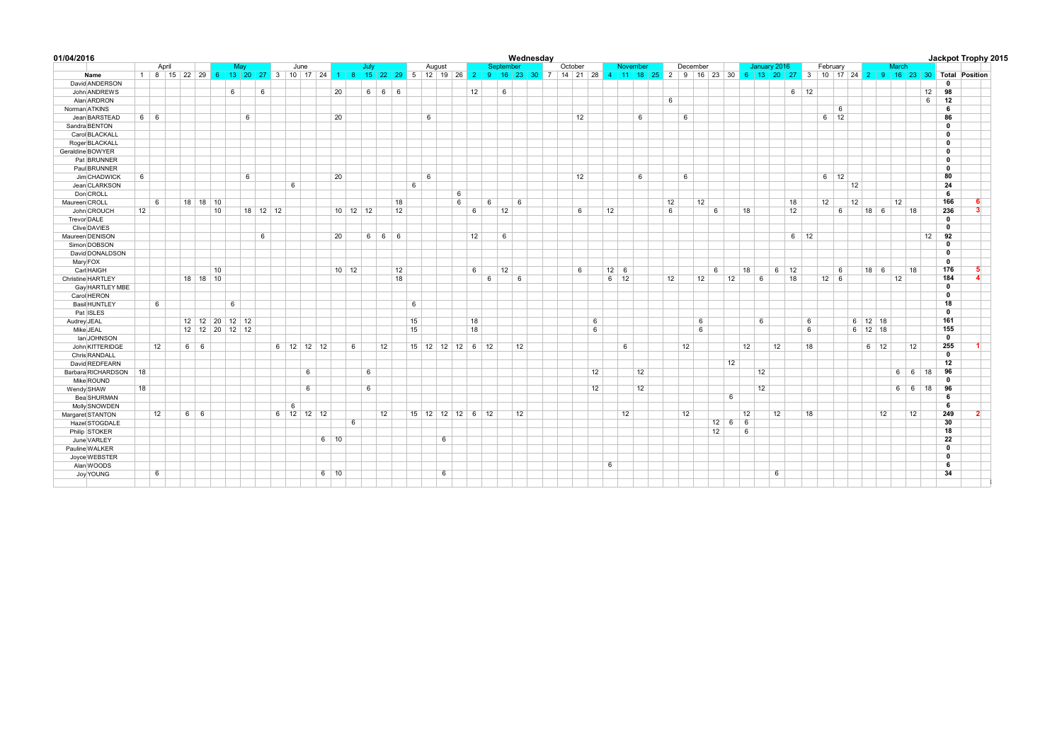| 01/04/2016           |    |             |                    |    |                                                                |   |          |                 |              |             |              |   |            |      |    |        |                    |            |    |       |    |    | Wednesday |         |    |    |             |          |    |    |    |          |              |    |    |              |             |             |    |                   |    |             |    |       |             |    |                         | Jackpot Trophy 2015                                                                           |  |
|----------------------|----|-------------|--------------------|----|----------------------------------------------------------------|---|----------|-----------------|--------------|-------------|--------------|---|------------|------|----|--------|--------------------|------------|----|-------|----|----|-----------|---------|----|----|-------------|----------|----|----|----|----------|--------------|----|----|--------------|-------------|-------------|----|-------------------|----|-------------|----|-------|-------------|----|-------------------------|-----------------------------------------------------------------------------------------------|--|
|                      |    | April       |                    |    | May                                                            |   |          |                 | June         |             |              |   | July       |      |    | August |                    |            |    | Septe |    |    |           | October |    |    |             | November |    |    |    | December |              |    |    | January 2016 |             |             |    | February          |    |             |    | March |             |    |                         |                                                                                               |  |
| Name                 |    |             |                    |    | 1 8 15 22 29 6 13 20 27 3 10 17 24 1 8 15 22 29 5 12 19 26 2 9 |   |          |                 |              |             |              |   |            |      |    |        |                    |            |    |       |    |    |           |         |    |    |             |          |    |    |    |          |              |    |    |              |             |             |    |                   |    |             |    |       |             |    |                         | 16 23 30 7 14 21 28 4 11 18 25 2 9 16 23 30 6 13 20 27 3 10 17 24 2 9 16 23 30 Total Position |  |
| David ANDERSON       |    |             |                    |    |                                                                |   |          |                 |              |             |              |   |            |      |    |        |                    |            |    |       |    |    |           |         |    |    |             |          |    |    |    |          |              |    |    |              |             |             |    |                   |    |             |    |       |             |    | $\overline{0}$          |                                                                                               |  |
| John ANDREWS         |    |             |                    |    | 6                                                              | 6 |          |                 |              |             | 20           |   |            | 6666 |    |        |                    |            | 12 |       | 6  |    |           |         |    |    |             |          |    |    |    |          |              |    |    |              |             | $6$ 12      |    |                   |    |             |    |       |             | 12 | 98                      |                                                                                               |  |
| Alan ARDRON          |    |             |                    |    |                                                                |   |          |                 |              |             |              |   |            |      |    |        |                    |            |    |       |    |    |           |         |    |    |             |          |    | 6  |    |          |              |    |    |              |             |             |    |                   |    |             |    |       |             | 6  | 12                      |                                                                                               |  |
| Norman ATKINS        |    |             |                    |    |                                                                |   |          |                 |              |             |              |   |            |      |    |        |                    |            |    |       |    |    |           |         |    |    |             |          |    |    |    |          |              |    |    |              |             |             |    | 6                 |    |             |    |       |             |    | 6                       |                                                                                               |  |
| Jean BARSTEAD        |    | $6 \quad 6$ |                    |    | 6                                                              |   |          |                 |              |             | 20           |   |            |      |    | 6      |                    |            |    |       |    |    |           |         | 12 |    |             |          | 6  |    | 6  |          |              |    |    |              |             |             |    | $6 \mid 12$       |    |             |    |       |             |    | 86                      |                                                                                               |  |
| Sandra BENTON        |    |             |                    |    |                                                                |   |          |                 |              |             |              |   |            |      |    |        |                    |            |    |       |    |    |           |         |    |    |             |          |    |    |    |          |              |    |    |              |             |             |    |                   |    |             |    |       |             |    | $\overline{0}$          |                                                                                               |  |
| Carol BLACKALL       |    |             |                    |    |                                                                |   |          |                 |              |             |              |   |            |      |    |        |                    |            |    |       |    |    |           |         |    |    |             |          |    |    |    |          |              |    |    |              |             |             |    |                   |    |             |    |       |             |    | $\overline{0}$          |                                                                                               |  |
| Roger BLACKALL       |    |             |                    |    |                                                                |   |          |                 |              |             |              |   |            |      |    |        |                    |            |    |       |    |    |           |         |    |    |             |          |    |    |    |          |              |    |    |              |             |             |    |                   |    |             |    |       |             |    | $\mathbf{0}$            |                                                                                               |  |
| Geraldine BOWYER     |    |             |                    |    |                                                                |   |          |                 |              |             |              |   |            |      |    |        |                    |            |    |       |    |    |           |         |    |    |             |          |    |    |    |          |              |    |    |              |             |             |    |                   |    |             |    |       |             |    | $\mathbf{0}$            |                                                                                               |  |
| Pat BRUNNER          |    |             |                    |    |                                                                |   |          |                 |              |             |              |   |            |      |    |        |                    |            |    |       |    |    |           |         |    |    |             |          |    |    |    |          |              |    |    |              |             |             |    |                   |    |             |    |       |             |    | $\overline{\mathbf{0}}$ |                                                                                               |  |
| Paul BRUNNER         |    |             |                    |    |                                                                |   |          |                 |              |             |              |   |            |      |    |        |                    |            |    |       |    |    |           |         |    |    |             |          |    |    |    |          |              |    |    |              |             |             |    |                   |    |             |    |       |             |    | $\overline{\mathbf{0}}$ |                                                                                               |  |
| Jim CHADWICK         | 6  |             |                    |    | 6                                                              |   |          |                 |              |             | 20           |   |            |      |    | 6      |                    |            |    |       |    |    |           |         | 12 |    |             |          | 6  |    | 6  |          |              |    |    |              |             |             |    | $6 \mid 12$       |    |             |    |       |             |    | 80                      |                                                                                               |  |
| Jean CLARKSON        |    |             |                    |    |                                                                |   |          | $6\overline{6}$ |              |             |              |   |            |      | 6  |        |                    |            |    |       |    |    |           |         |    |    |             |          |    |    |    |          |              |    |    |              |             |             |    |                   | 12 |             |    |       |             |    | 24                      |                                                                                               |  |
| Don CROLL            |    |             |                    |    |                                                                |   |          |                 |              |             |              |   |            |      |    |        |                    | $\epsilon$ |    |       |    |    |           |         |    |    |             |          |    |    |    |          |              |    |    |              |             |             |    |                   |    |             |    |       |             |    | 6                       |                                                                                               |  |
| Maureen CROLL        |    | 6           | $18$ 18            | 10 |                                                                |   |          |                 |              |             |              |   |            | 18   |    |        |                    | 6          |    | 6     |    | 6  |           |         |    |    |             |          |    | 12 |    | 12       |              |    |    |              | 18          |             | 12 |                   | 12 |             |    | 12    |             |    | 166                     | 6                                                                                             |  |
| John CROUCH          | 12 |             |                    | 10 |                                                                |   | 18 12 12 |                 |              |             | $10$ 12 12   |   |            | 12   |    |        |                    |            | 6  |       | 12 |    |           |         | 6  |    | 12          |          |    | 6  |    |          | $\epsilon$   |    | 18 |              | 12          |             |    | 6                 |    | $18$ 6      |    |       | 18          |    | 236                     | 3                                                                                             |  |
| Trevor DALE          |    |             |                    |    |                                                                |   |          |                 |              |             |              |   |            |      |    |        |                    |            |    |       |    |    |           |         |    |    |             |          |    |    |    |          |              |    |    |              |             |             |    |                   |    |             |    |       |             |    | $\mathbf{0}$            |                                                                                               |  |
| Clive DAVIES         |    |             |                    |    |                                                                |   |          |                 |              |             |              |   |            |      |    |        |                    |            |    |       |    |    |           |         |    |    |             |          |    |    |    |          |              |    |    |              |             |             |    |                   |    |             |    |       |             |    | $\mathbf 0$             |                                                                                               |  |
| Maureen DENISON      |    |             |                    |    |                                                                | 6 |          |                 |              |             | 20           |   | $6 \mid 6$ | 6    |    |        |                    |            | 12 |       | 6  |    |           |         |    |    |             |          |    |    |    |          |              |    |    |              |             | $6 \mid 12$ |    |                   |    |             |    |       |             | 12 | 92                      |                                                                                               |  |
| Simon DOBSON         |    |             |                    |    |                                                                |   |          |                 |              |             |              |   |            |      |    |        |                    |            |    |       |    |    |           |         |    |    |             |          |    |    |    |          |              |    |    |              |             |             |    |                   |    |             |    |       |             |    | $\mathbf 0$             |                                                                                               |  |
| David DONALDSON      |    |             |                    |    |                                                                |   |          |                 |              |             |              |   |            |      |    |        |                    |            |    |       |    |    |           |         |    |    |             |          |    |    |    |          |              |    |    |              |             |             |    |                   |    |             |    |       |             |    | $\overline{\mathbf{0}}$ |                                                                                               |  |
|                      |    |             |                    |    |                                                                |   |          |                 |              |             |              |   |            |      |    |        |                    |            |    |       |    |    |           |         |    |    |             |          |    |    |    |          |              |    |    |              |             |             |    |                   |    |             |    |       |             |    | $\overline{\mathbf{0}}$ |                                                                                               |  |
| Mary FOX             |    |             |                    |    |                                                                |   |          |                 |              |             |              |   |            |      |    |        |                    |            | 6  |       |    |    |           |         | 6  |    | $12 \mid 6$ |          |    |    |    |          | 6            |    |    |              | $6 \mid 12$ |             |    |                   |    | $18$ 6      |    |       | 18          |    | 176                     | 5.                                                                                            |  |
| Carl HAIGH           |    |             |                    | 10 |                                                                |   |          |                 |              |             | $10 \mid 12$ |   |            | 12   |    |        |                    |            |    | 6     | 12 |    |           |         |    |    |             |          |    |    |    |          |              |    | 18 |              |             |             |    | 6<br>$12 \quad 6$ |    |             |    |       |             |    | 184                     | $\Delta$                                                                                      |  |
| Christine HARTLEY    |    |             | 18 18 10           |    |                                                                |   |          |                 |              |             |              |   |            | 18   |    |        |                    |            |    |       |    | 6  |           |         |    |    | $6 \mid 12$ |          |    | 12 |    | 12       |              | 12 |    | 6            | 18          |             |    |                   |    |             |    | 12    |             |    | $\overline{\mathbf{0}}$ |                                                                                               |  |
| Gay HARTLEY MBE      |    |             |                    |    |                                                                |   |          |                 |              |             |              |   |            |      |    |        |                    |            |    |       |    |    |           |         |    |    |             |          |    |    |    |          |              |    |    |              |             |             |    |                   |    |             |    |       |             |    |                         |                                                                                               |  |
| Carol HERON          |    |             |                    |    |                                                                |   |          |                 |              |             |              |   |            |      |    |        |                    |            |    |       |    |    |           |         |    |    |             |          |    |    |    |          |              |    |    |              |             |             |    |                   |    |             |    |       |             |    | $\overline{0}$          |                                                                                               |  |
| <b>Basil HUNTLEY</b> |    | 6           |                    |    | 6                                                              |   |          |                 |              |             |              |   |            |      | 6  |        |                    |            |    |       |    |    |           |         |    |    |             |          |    |    |    |          |              |    |    |              |             |             |    |                   |    |             |    |       |             |    | 18                      |                                                                                               |  |
| Pat ISLES            |    |             |                    |    |                                                                |   |          |                 |              |             |              |   |            |      |    |        |                    |            |    |       |    |    |           |         |    |    |             |          |    |    |    |          |              |    |    |              |             |             |    |                   |    |             |    |       |             |    | $\mathbf{0}$            |                                                                                               |  |
| Audrey JEAL          |    |             | $12 \overline{12}$ | 20 | 12 12                                                          |   |          |                 |              |             |              |   |            |      | 15 |        |                    |            | 18 |       |    |    |           |         |    | 6  |             |          |    |    |    | 6        |              |    |    | 6            |             | 6           |    |                   |    | 6 12 18     |    |       |             |    | 161                     |                                                                                               |  |
| Mike JEAL            |    |             | $12 \quad 12$      |    | 20 12 12                                                       |   |          |                 |              |             |              |   |            |      | 15 |        |                    |            | 18 |       |    |    |           |         |    | 6  |             |          |    |    |    | 6        |              |    |    |              |             | 6           |    |                   |    | 6 12 18     |    |       |             |    | 155                     |                                                                                               |  |
| lan JOHNSON          |    |             |                    |    |                                                                |   |          |                 |              |             |              |   |            |      |    |        |                    |            |    |       |    |    |           |         |    |    |             |          |    |    |    |          |              |    |    |              |             |             |    |                   |    |             |    |       |             |    | $\overline{\mathbf{0}}$ |                                                                                               |  |
| John KITTERIDGE      |    | 12          | 6 6                |    |                                                                |   |          |                 | 6 12 12 12   |             |              | 6 | 12         |      |    |        | 15 12 12 12 6 12   |            |    |       |    | 12 |           |         |    |    |             | 6        |    |    | 12 |          |              |    | 12 | 12           |             | 18          |    |                   |    | $6 \mid 12$ |    |       | 12          |    | 255                     |                                                                                               |  |
| Chris RANDALL        |    |             |                    |    |                                                                |   |          |                 |              |             |              |   |            |      |    |        |                    |            |    |       |    |    |           |         |    |    |             |          |    |    |    |          |              |    |    |              |             |             |    |                   |    |             |    |       |             |    | $\overline{\mathbf{0}}$ |                                                                                               |  |
| David REDFEARN       |    |             |                    |    |                                                                |   |          |                 |              |             |              |   |            |      |    |        |                    |            |    |       |    |    |           |         |    |    |             |          |    |    |    |          |              | 12 |    |              |             |             |    |                   |    |             |    |       |             |    | 12                      |                                                                                               |  |
| Barbara RICHARDSON   | 18 |             |                    |    |                                                                |   |          |                 | 6            |             |              |   | 6          |      |    |        |                    |            |    |       |    |    |           |         |    | 12 |             |          | 12 |    |    |          |              |    |    | 12           |             |             |    |                   |    |             |    |       | 6 6 18      |    | 96                      |                                                                                               |  |
| Mike ROUND           |    |             |                    |    |                                                                |   |          |                 |              |             |              |   |            |      |    |        |                    |            |    |       |    |    |           |         |    |    |             |          |    |    |    |          |              |    |    |              |             |             |    |                   |    |             |    |       |             |    | $\mathbf 0$             |                                                                                               |  |
| Wendy SHAW           | 18 |             |                    |    |                                                                |   |          |                 | 6            |             |              |   | 6          |      |    |        |                    |            |    |       |    |    |           |         |    | 12 |             |          | 12 |    |    |          |              |    |    | 12           |             |             |    |                   |    |             |    | 6     | $6 \mid 18$ |    | 96                      |                                                                                               |  |
| Bea SHURMAN          |    |             |                    |    |                                                                |   |          |                 |              |             |              |   |            |      |    |        |                    |            |    |       |    |    |           |         |    |    |             |          |    |    |    |          |              | 6  |    |              |             |             |    |                   |    |             |    |       |             |    | 6                       |                                                                                               |  |
| Molly SNOWDEN        |    |             |                    |    |                                                                |   |          | 6               |              |             |              |   |            |      |    |        |                    |            |    |       |    |    |           |         |    |    |             |          |    |    |    |          |              |    |    |              |             |             |    |                   |    |             |    |       |             |    | 6                       |                                                                                               |  |
| Margaret STANTON     |    | 12          | 6 6                |    |                                                                |   |          |                 | $6$ 12 12 12 |             |              |   | 12         |      |    |        | $15$ 12 12 12 6 12 |            |    |       |    | 12 |           |         |    |    |             | 12       |    |    | 12 |          |              |    | 12 | 12           |             | 18          |    |                   |    |             | 12 |       | 12          |    | 249                     | 2                                                                                             |  |
| Hazel STOGDALE       |    |             |                    |    |                                                                |   |          |                 |              |             |              | 6 |            |      |    |        |                    |            |    |       |    |    |           |         |    |    |             |          |    |    |    |          | $12 \quad 6$ |    | 6  |              |             |             |    |                   |    |             |    |       |             |    | 30                      |                                                                                               |  |
| Philip STOKER        |    |             |                    |    |                                                                |   |          |                 |              |             |              |   |            |      |    |        |                    |            |    |       |    |    |           |         |    |    |             |          |    |    |    |          | 12           |    | 6  |              |             |             |    |                   |    |             |    |       |             |    | 18                      |                                                                                               |  |
| June VARLEY          |    |             |                    |    |                                                                |   |          |                 |              | $6 \mid 10$ |              |   |            |      |    |        | 6                  |            |    |       |    |    |           |         |    |    |             |          |    |    |    |          |              |    |    |              |             |             |    |                   |    |             |    |       |             |    | 22                      |                                                                                               |  |
| Pauline WALKER       |    |             |                    |    |                                                                |   |          |                 |              |             |              |   |            |      |    |        |                    |            |    |       |    |    |           |         |    |    |             |          |    |    |    |          |              |    |    |              |             |             |    |                   |    |             |    |       |             |    | $\overline{\mathbf{0}}$ |                                                                                               |  |
| Joyce WEBSTER        |    |             |                    |    |                                                                |   |          |                 |              |             |              |   |            |      |    |        |                    |            |    |       |    |    |           |         |    |    |             |          |    |    |    |          |              |    |    |              |             |             |    |                   |    |             |    |       |             |    | $\overline{\mathbf{0}}$ |                                                                                               |  |
| Alan WOODS           |    |             |                    |    |                                                                |   |          |                 |              |             |              |   |            |      |    |        |                    |            |    |       |    |    |           |         |    |    | 6           |          |    |    |    |          |              |    |    |              |             |             |    |                   |    |             |    |       |             |    | 6                       |                                                                                               |  |
| Joy YOUNG            |    | 6           |                    |    |                                                                |   |          |                 |              | $6$ 10      |              |   |            |      |    |        | 6                  |            |    |       |    |    |           |         |    |    |             |          |    |    |    |          |              |    |    | 6            |             |             |    |                   |    |             |    |       |             |    | 34                      |                                                                                               |  |
|                      |    |             |                    |    |                                                                |   |          |                 |              |             |              |   |            |      |    |        |                    |            |    |       |    |    |           |         |    |    |             |          |    |    |    |          |              |    |    |              |             |             |    |                   |    |             |    |       |             |    |                         |                                                                                               |  |
|                      |    |             |                    |    |                                                                |   |          |                 |              |             |              |   |            |      |    |        |                    |            |    |       |    |    |           |         |    |    |             |          |    |    |    |          |              |    |    |              |             |             |    |                   |    |             |    |       |             |    |                         |                                                                                               |  |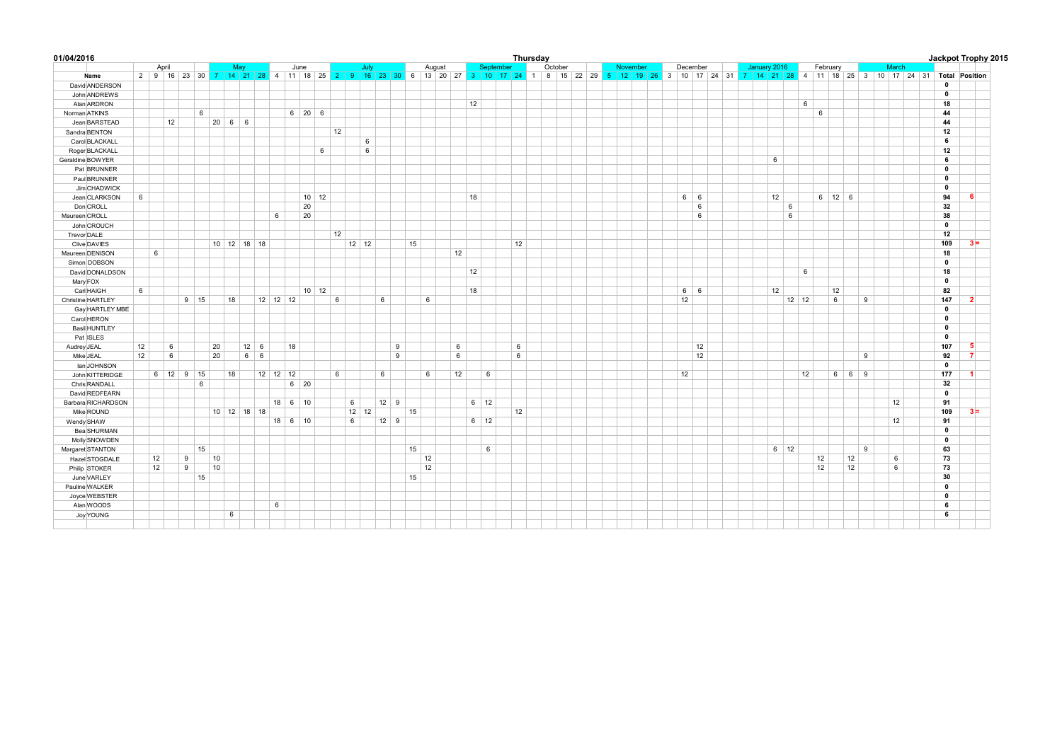| 01/04/2016           |    |                    |   |             |    |               |             |            |           |                    |              |    |              |      |             |    |    |        |    |             |           |    | Thursday |         |  |          |  |            |    |  |              |             |         |    |            |                   |   |       |  |              | Jackpot Trophy 2015                                                                                                                                            |
|----------------------|----|--------------------|---|-------------|----|---------------|-------------|------------|-----------|--------------------|--------------|----|--------------|------|-------------|----|----|--------|----|-------------|-----------|----|----------|---------|--|----------|--|------------|----|--|--------------|-------------|---------|----|------------|-------------------|---|-------|--|--------------|----------------------------------------------------------------------------------------------------------------------------------------------------------------|
|                      |    | April              |   |             |    | May           |             |            |           | June               |              |    |              | July |             |    |    | August |    |             | September |    |          | October |  | November |  | December   |    |  | January 2016 |             |         |    | February   |                   |   | March |  |              |                                                                                                                                                                |
| Name                 |    |                    |   |             |    |               |             |            |           |                    |              |    |              |      |             |    |    |        |    |             |           |    |          |         |  |          |  |            |    |  |              |             |         |    |            |                   |   |       |  |              | 2 9 16 23 30 7 14 21 28 4 11 18 25 2 9 16 23 30 6 13 20 27 3 10 17 24 1 8 15 22 29 5 12 19 26 3 10 17 24 31 7 14 21 28 4 11 18 25 3 10 17 24 31 Total Position |
| David ANDERSON       |    |                    |   |             |    |               |             |            |           |                    |              |    |              |      |             |    |    |        |    |             |           |    |          |         |  |          |  |            |    |  |              |             |         |    |            |                   |   |       |  | $\mathbf 0$  |                                                                                                                                                                |
| John ANDREWS         |    |                    |   |             |    |               |             |            |           |                    |              |    |              |      |             |    |    |        |    |             |           |    |          |         |  |          |  |            |    |  |              |             |         |    |            |                   |   |       |  | $\mathbf 0$  |                                                                                                                                                                |
| Alan ARDRON          |    |                    |   |             |    |               |             |            |           |                    |              |    |              |      |             |    |    |        |    | 12          |           |    |          |         |  |          |  |            |    |  |              |             | 6       |    |            |                   |   |       |  | 18           |                                                                                                                                                                |
| Norman ATKINS        |    |                    |   | 6           |    |               |             |            |           | $6 \mid 20 \mid 6$ |              |    |              |      |             |    |    |        |    |             |           |    |          |         |  |          |  |            |    |  |              |             |         | 6  |            |                   |   |       |  | 44           |                                                                                                                                                                |
| Jean BARSTEAD        |    | 12                 |   |             |    | $20 \t6 \t6$  |             |            |           |                    |              |    |              |      |             |    |    |        |    |             |           |    |          |         |  |          |  |            |    |  |              |             |         |    |            |                   |   |       |  | 44           |                                                                                                                                                                |
| Sandra BENTON        |    |                    |   |             |    |               |             |            |           |                    |              | 12 |              |      |             |    |    |        |    |             |           |    |          |         |  |          |  |            |    |  |              |             |         |    |            |                   |   |       |  | 12           |                                                                                                                                                                |
| Carol BLACKALL       |    |                    |   |             |    |               |             |            |           |                    |              |    |              | 6    |             |    |    |        |    |             |           |    |          |         |  |          |  |            |    |  |              |             |         |    |            |                   |   |       |  | 6            |                                                                                                                                                                |
| Roger BLACKALL       |    |                    |   |             |    |               |             |            |           |                    | 6            |    |              | 6    |             |    |    |        |    |             |           |    |          |         |  |          |  |            |    |  |              |             |         |    |            |                   |   |       |  | 12           |                                                                                                                                                                |
| Geraldine BOWYER     |    |                    |   |             |    |               |             |            |           |                    |              |    |              |      |             |    |    |        |    |             |           |    |          |         |  |          |  |            |    |  |              | 6           |         |    |            |                   |   |       |  | 6            |                                                                                                                                                                |
| Pat BRUNNER          |    |                    |   |             |    |               |             |            |           |                    |              |    |              |      |             |    |    |        |    |             |           |    |          |         |  |          |  |            |    |  |              |             |         |    |            |                   |   |       |  | $\mathbf 0$  |                                                                                                                                                                |
| Paul BRUNNER         |    |                    |   |             |    |               |             |            |           |                    |              |    |              |      |             |    |    |        |    |             |           |    |          |         |  |          |  |            |    |  |              |             |         |    |            |                   |   |       |  | $\mathbf{0}$ |                                                                                                                                                                |
| Jim CHADWICK         |    |                    |   |             |    |               |             |            |           |                    |              |    |              |      |             |    |    |        |    |             |           |    |          |         |  |          |  |            |    |  |              |             |         |    |            |                   |   |       |  | $\mathbf 0$  |                                                                                                                                                                |
| Jean CLARKSON        | 6  |                    |   |             |    |               |             |            |           |                    | $10$ 12      |    |              |      |             |    |    |        |    | 18          |           |    |          |         |  |          |  | $6 \mid 6$ |    |  |              | 12          |         |    | 6   12   6 |                   |   |       |  | 94           | 6                                                                                                                                                              |
| Don CROLL            |    |                    |   |             |    |               |             |            |           | 20                 |              |    |              |      |             |    |    |        |    |             |           |    |          |         |  |          |  |            | 6  |  |              | 6           |         |    |            |                   |   |       |  | 32           |                                                                                                                                                                |
| Maureen CROLL        |    |                    |   |             |    |               |             | 6          |           | 20                 |              |    |              |      |             |    |    |        |    |             |           |    |          |         |  |          |  |            | 6  |  |              | 6           |         |    |            |                   |   |       |  | 38           |                                                                                                                                                                |
| John CROUCH          |    |                    |   |             |    |               |             |            |           |                    |              |    |              |      |             |    |    |        |    |             |           |    |          |         |  |          |  |            |    |  |              |             |         |    |            |                   |   |       |  | $\mathbf 0$  |                                                                                                                                                                |
| Trevor DALE          |    |                    |   |             |    |               |             |            |           |                    |              | 12 |              |      |             |    |    |        |    |             |           |    |          |         |  |          |  |            |    |  |              |             |         |    |            |                   |   |       |  | 12           |                                                                                                                                                                |
| Clive DAVIES         |    |                    |   |             |    | $10$ 12 18 18 |             |            |           |                    |              |    | $12 \mid 12$ |      |             | 15 |    |        |    |             |           | 12 |          |         |  |          |  |            |    |  |              |             |         |    |            |                   |   |       |  | 109          | $3 =$                                                                                                                                                          |
| Maureen DENISON      |    | 6                  |   |             |    |               |             |            |           |                    |              |    |              |      |             |    |    |        | 12 |             |           |    |          |         |  |          |  |            |    |  |              |             |         |    |            |                   |   |       |  | 18           |                                                                                                                                                                |
| Simon DOBSON         |    |                    |   |             |    |               |             |            |           |                    |              |    |              |      |             |    |    |        |    |             |           |    |          |         |  |          |  |            |    |  |              |             |         |    |            |                   |   |       |  | $\mathbf 0$  |                                                                                                                                                                |
| David DONALDSON      |    |                    |   |             |    |               |             |            |           |                    |              |    |              |      |             |    |    |        |    | 12          |           |    |          |         |  |          |  |            |    |  |              |             | 6       |    |            |                   |   |       |  | 18           |                                                                                                                                                                |
|                      |    |                    |   |             |    |               |             |            |           |                    |              |    |              |      |             |    |    |        |    |             |           |    |          |         |  |          |  |            |    |  |              |             |         |    |            |                   |   |       |  | $\mathbf 0$  |                                                                                                                                                                |
| Mary FOX             | 6  |                    |   |             |    |               |             |            |           |                    | $10 \mid 12$ |    |              |      |             |    |    |        |    | 18          |           |    |          |         |  |          |  | $6 \mid 6$ |    |  |              | 12          |         |    | 12         |                   |   |       |  | 82           |                                                                                                                                                                |
| Carl HAIGH           |    |                    |   |             |    |               |             |            |           |                    |              |    |              |      |             |    | 6  |        |    |             |           |    |          |         |  |          |  |            |    |  |              |             |         |    |            |                   |   |       |  |              | $\overline{2}$                                                                                                                                                 |
| Christine HARTLEY    |    |                    |   | $9 \mid 15$ |    | 18            |             | $12$ 12 12 |           |                    |              | 6  |              | 6    |             |    |    |        |    |             |           |    |          |         |  |          |  | 12         |    |  |              |             | $12$ 12 |    | 6          |                   | 9 |       |  | 147          |                                                                                                                                                                |
| Gay HARTLEY MBE      |    |                    |   |             |    |               |             |            |           |                    |              |    |              |      |             |    |    |        |    |             |           |    |          |         |  |          |  |            |    |  |              |             |         |    |            |                   |   |       |  | $\mathbf 0$  |                                                                                                                                                                |
| Carol HERON          |    |                    |   |             |    |               |             |            |           |                    |              |    |              |      |             |    |    |        |    |             |           |    |          |         |  |          |  |            |    |  |              |             |         |    |            |                   |   |       |  | $\mathbf{0}$ |                                                                                                                                                                |
| <b>Basil HUNTLEY</b> |    |                    |   |             |    |               |             |            |           |                    |              |    |              |      |             |    |    |        |    |             |           |    |          |         |  |          |  |            |    |  |              |             |         |    |            |                   |   |       |  | $\mathbf 0$  |                                                                                                                                                                |
| Pat ISLES            |    |                    |   |             |    |               |             |            |           |                    |              |    |              |      |             |    |    |        |    |             |           |    |          |         |  |          |  |            |    |  |              |             |         |    |            |                   |   |       |  | $\mathbf{0}$ |                                                                                                                                                                |
| Audrey JEAL          | 12 | 6                  |   |             | 20 |               | $12 \mid 6$ |            | 18        |                    |              |    |              |      | 9           |    |    |        | 6  |             |           | 6  |          |         |  |          |  |            | 12 |  |              |             |         |    |            |                   |   |       |  | 107          | 5                                                                                                                                                              |
| Mike JEAL            | 12 | 6                  |   |             | 20 |               | $6 \mid 6$  |            |           |                    |              |    |              |      | 9           |    |    |        | 6  |             |           | 6  |          |         |  |          |  |            | 12 |  |              |             |         |    |            |                   | 9 |       |  | 92           | $\overline{7}$                                                                                                                                                 |
| lan JOHNSON          |    |                    |   |             |    |               |             |            |           |                    |              |    |              |      |             |    |    |        |    |             |           |    |          |         |  |          |  |            |    |  |              |             |         |    |            |                   |   |       |  | $\mathbf 0$  |                                                                                                                                                                |
| John KITTERIDGE      |    | $6 \mid 12 \mid 9$ |   | 15          |    | 18            |             | $12$ 12 12 |           |                    |              | 6  |              |      | 6           |    | 6  |        | 12 |             | 6         |    |          |         |  |          |  | 12         |    |  |              |             | 12      |    |            | $6 \mid 6 \mid 9$ |   |       |  | 177          | $\mathbf{1}$                                                                                                                                                   |
| Chris RANDALL        |    |                    |   | 6           |    |               |             |            |           | $6 \mid 20$        |              |    |              |      |             |    |    |        |    |             |           |    |          |         |  |          |  |            |    |  |              |             |         |    |            |                   |   |       |  | 32           |                                                                                                                                                                |
| David REDFEARN       |    |                    |   |             |    |               |             |            |           |                    |              |    |              |      |             |    |    |        |    |             |           |    |          |         |  |          |  |            |    |  |              |             |         |    |            |                   |   |       |  | $\mathbf 0$  |                                                                                                                                                                |
| Barbara RICHARDSON   |    |                    |   |             |    |               |             |            | $18$ 6 10 |                    |              |    | 6            |      | $12 \mid 9$ |    |    |        |    | $6 \mid 12$ |           |    |          |         |  |          |  |            |    |  |              |             |         |    |            |                   |   | 12    |  | 91           |                                                                                                                                                                |
| Mike ROUND           |    |                    |   |             |    | 10 12 18 18   |             |            |           |                    |              |    | 12           | 12   |             | 15 |    |        |    |             |           | 12 |          |         |  |          |  |            |    |  |              |             |         |    |            |                   |   |       |  | 109          | $3 =$                                                                                                                                                          |
| Wendy SHAW           |    |                    |   |             |    |               |             |            | 18 6 10   |                    |              |    | 6            |      | $12 \mid 9$ |    |    |        |    | $6 \mid 12$ |           |    |          |         |  |          |  |            |    |  |              |             |         |    |            |                   |   | 12    |  | 91           |                                                                                                                                                                |
| Bea SHURMAN          |    |                    |   |             |    |               |             |            |           |                    |              |    |              |      |             |    |    |        |    |             |           |    |          |         |  |          |  |            |    |  |              |             |         |    |            |                   |   |       |  | $\mathbf 0$  |                                                                                                                                                                |
| Molly SNOWDEN        |    |                    |   |             |    |               |             |            |           |                    |              |    |              |      |             |    |    |        |    |             |           |    |          |         |  |          |  |            |    |  |              |             |         |    |            |                   |   |       |  | $\mathbf 0$  |                                                                                                                                                                |
| Margaret STANTON     |    |                    |   | 15          |    |               |             |            |           |                    |              |    |              |      |             | 15 |    |        |    |             | 6         |    |          |         |  |          |  |            |    |  |              | $6 \mid 12$ |         |    |            |                   | 9 |       |  | 63           |                                                                                                                                                                |
| Hazel STOGDALE       |    | 12                 | 9 |             | 10 |               |             |            |           |                    |              |    |              |      |             |    | 12 |        |    |             |           |    |          |         |  |          |  |            |    |  |              |             |         | 12 |            | 12                |   | 6     |  | 73           |                                                                                                                                                                |
| Philip STOKER        |    | 12                 | 9 |             | 10 |               |             |            |           |                    |              |    |              |      |             |    | 12 |        |    |             |           |    |          |         |  |          |  |            |    |  |              |             |         | 12 |            | 12                |   | 6     |  | 73           |                                                                                                                                                                |
| June VARLEY          |    |                    |   | 15          |    |               |             |            |           |                    |              |    |              |      |             | 15 |    |        |    |             |           |    |          |         |  |          |  |            |    |  |              |             |         |    |            |                   |   |       |  | 30           |                                                                                                                                                                |
| Pauline WALKER       |    |                    |   |             |    |               |             |            |           |                    |              |    |              |      |             |    |    |        |    |             |           |    |          |         |  |          |  |            |    |  |              |             |         |    |            |                   |   |       |  | $\mathbf 0$  |                                                                                                                                                                |
| Joyce WEBSTER        |    |                    |   |             |    |               |             |            |           |                    |              |    |              |      |             |    |    |        |    |             |           |    |          |         |  |          |  |            |    |  |              |             |         |    |            |                   |   |       |  | $\mathbf 0$  |                                                                                                                                                                |
| Alan WOODS           |    |                    |   |             |    |               |             | 6          |           |                    |              |    |              |      |             |    |    |        |    |             |           |    |          |         |  |          |  |            |    |  |              |             |         |    |            |                   |   |       |  | 6            |                                                                                                                                                                |
| Joy YOUNG            |    |                    |   |             |    | 6             |             |            |           |                    |              |    |              |      |             |    |    |        |    |             |           |    |          |         |  |          |  |            |    |  |              |             |         |    |            |                   |   |       |  | 6            |                                                                                                                                                                |